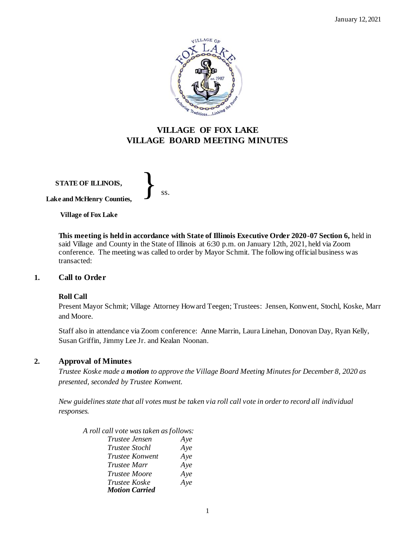

# **VILLAGE OF FOX LAKE VILLAGE BOARD MEETING MINUTES**

**STATE OF ILLINOIS, Lake and McHenry Counties,**  }<br>*ss.* 

**Village of Fox Lake**

**This meeting is held in accordance with State of Illinois Executive Order 2020-07 Section 6,** held in said Village and County in the State of Illinois at 6:30 p.m. on January 12th, 2021, held via Zoom conference. The meeting was called to order by Mayor Schmit. The following official business was transacted:

#### **1. Call to Order**

#### **Roll Call**

Present Mayor Schmit; Village Attorney Howard Teegen; Trustees: Jensen, Konwent, Stochl, Koske, Marr and Moore.

Staff also in attendance via Zoom conference: Anne Marrin, Laura Linehan, Donovan Day, Ryan Kelly, Susan Griffin, Jimmy Lee Jr. and Kealan Noonan.

#### **2. Approval of Minutes**

*Trustee Koske made a motion to approve the Village Board Meeting Minutes for December 8, 2020 as presented, seconded by Trustee Konwent.* 

*New guidelines state that all votes must be taken via roll call vote in order to record all individual responses.* 

| A roll call vote was taken as follows: |     |
|----------------------------------------|-----|
| Trustee Jensen                         | Aye |
| <i>Trustee Stochl</i>                  | Aye |
| Trustee Konwent                        | Aye |
| <i>Trustee Marr</i>                    | Aye |
| Trustee Moore                          | Aye |
| Trustee Koske                          | Aye |
| <b>Motion Carried</b>                  |     |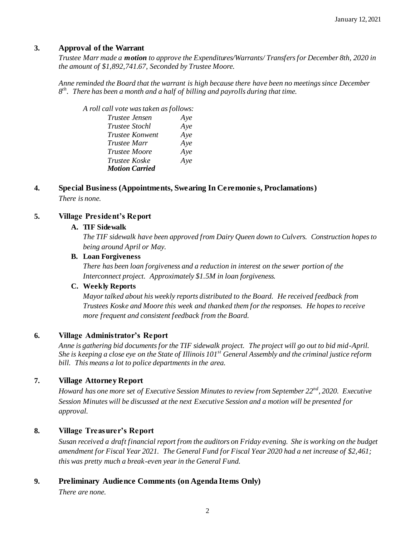# **3. Approval of the Warrant**

*Trustee Marr made a motion to approve the Expenditures/Warrants/ Transfers for December 8th, 2020 in the amount of \$1,892,741.67, Seconded by Trustee Moore.*

*Anne reminded the Board that the warrant is high because there have been no meetings since December 8 th. There has been a month and a half of billing and payrolls during that time.* 

*A roll call vote was taken as follows:* 

| Trustee Jensen        | Aye |
|-----------------------|-----|
| <i>Trustee Stochl</i> | Aye |
| Trustee Konwent       | Aye |
| Trustee Marr          | Aye |
| <i>Trustee Moore</i>  | Aye |
| Trustee Koske         | Aye |
| <b>Motion Carried</b> |     |

# **4. Special Business (Appointments, Swearing In Ceremonie s, Proclamations)** *There is none.*

# **5. Village President's Report**

#### **A. TIF Sidewalk**

*The TIF sidewalk have been approved from Dairy Queen down to Culvers. Construction hopes to being around April or May.* 

#### **B. Loan Forgiveness**

*There has been loan forgiveness and a reduction in interest on the sewer portion of the Interconnect project. Approximately \$1.5M in loan forgiveness.* 

#### **C. Weekly Reports**

*Mayor talked about his weekly reports distributed to the Board. He received feedback from Trustees Koske and Moore this week and thanked them for the responses. He hopes to receive more frequent and consistent feedback from the Board.*

## **6. Village Administrator's Report**

*Anne is gathering bid documents for the TIF sidewalk project. The project will go out to bid mid-April. She is keeping a close eye on the State of Illinois 101st General Assembly and the criminal justice reform bill. This means a lot to police departments in the area.* 

# **7. Village Attorney Report**

*Howard has one more set of Executive Session Minutes to review from September 22nd, 2020. Executive Session Minutes will be discussed at the next Executive Session and a motion will be presented for approval.* 

# **8. Village Treasurer's Report**

*Susan received a draft financial report from the auditors on Friday evening. She is working on the budget amendment for Fiscal Year 2021. The General Fund for Fiscal Year 2020 had a net increase of \$2,461; this was pretty much a break-even year in the General Fund.* 

# **9. Preliminary Audience Comments (on Agenda Items Only)**

*There are none.*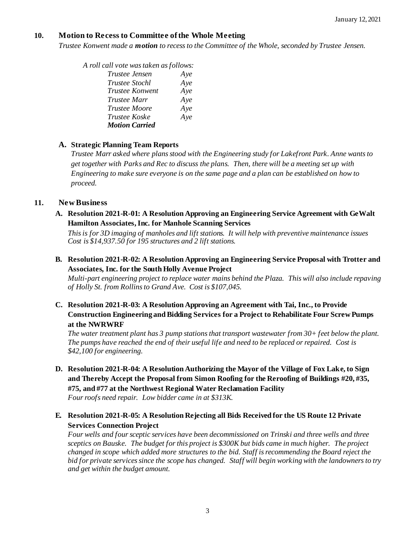# **10. Motion to Recess to Committee of the Whole Meeting**

*Trustee Konwent made a motion to recess to the Committee of the Whole, seconded by Trustee Jensen.* 

*A roll call vote was taken as follows:* 

| Trustee Jensen        | Aye |
|-----------------------|-----|
| <i>Trustee Stochl</i> | Aye |
| Trustee Konwent       | Aye |
| Trustee Marr          | Aye |
| Trustee Moore         | Aye |
| Trustee Koske         | Aye |
| <b>Motion Carried</b> |     |
|                       |     |

## **A. Strategic Planning Team Reports**

*Trustee Marr asked where plans stood with the Engineering study for Lakefront Park. Anne wants to get together with Parks and Rec to discuss the plans. Then, there will be a meeting set up with Engineering to make sure everyone is on the same page and a plan can be established on how to proceed.* 

# **11. New Business**

**A. Resolution 2021-R-01: A Resolution Approving an Engineering Service Agreement with GeWalt Hamilton Associates, Inc. for Manhole Scanning Services**

*This is for 3D imaging of manholes and lift stations. It will help with preventive maintenance issues Cost is \$14,937.50 for 195 structures and 2 lift stations.* 

**B. Resolution 2021-R-02: A Resolution Approving an Engineering Service Proposal with Trotter and Associates, Inc. for the South Holly Avenue Project**

*Multi-part engineering project to replace water mains behind the Plaza. This will also include repaving of Holly St. from Rollins to Grand Ave. Cost is \$107,045.*

**C. Resolution 2021-R-03: A Resolution Approving an Agreement with Tai, Inc., to Provide Construction Engineering and Bidding Services for a Project to Rehabilitate Four Screw Pumps at the NWRWRF**

*The water treatment plant has* 3 *pump stations that transport wastewater from 30+ feet below the plant. The pumps have reached the end of their useful life and need to be replaced or repaired. Cost is \$42,100 for engineering.* 

- **D. Resolution 2021-R-04: A Resolution Authorizing the Mayor of the Village of Fox Lake, to Sign and Thereby Accept the Proposal from Simon Roofing for the Reroofing of Buildings #20, #35, #75, and #77 at the Northwest Regional Water Reclamation Facility** *Four roofs need repair. Low bidder came in at \$313K.*
- **E. Resolution 2021-R-05: A Resolution Rejecting all Bids Received for the US Route 12 Private Services Connection Project**

*Four wells and foursceptic services have been decommissioned on Trinski and three wells and three sceptics on Bauske. The budget for this project is \$300K but bids came in much higher. The project changed in scope which added more structures to the bid. Staff is recommending the Board reject the bid for private services since the scope has changed. Staff will begin working with the landownersto try and get within the budget amount.*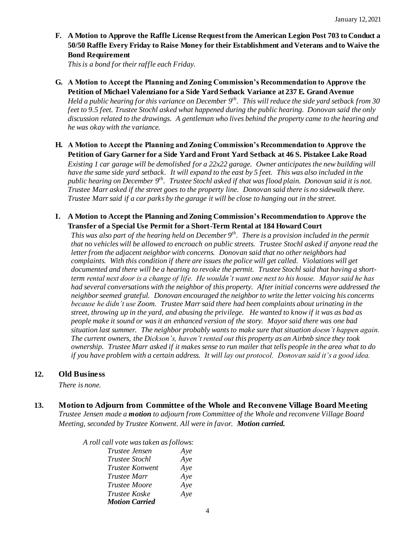**F. A Motion to Approve the Raffle License Request from the American Legion Post 703 to Conduct a 50/50 Raffle Every Friday to Raise Money for their Establishment and Veterans and to Waive the Bond Requirement** 

*This is a bond for their raffle each Friday.* 

**G. A Motion to Accept the Planning and Zoning Commission's Recommendation to Approve the Petition of Michael Valenziano for a Side Yard Setback Variance at 237 E. Grand Avenue** 

*Held a public hearing for this variance on December 9th . This will reduce the side yard setback from 30 feet to 9.5 feet. Trustee Stochl asked what happened during the public hearing. Donovan said the only discussion related to the drawings. A gentleman who lives behind the property came to the hearing and he was okay with the variance.*

**H. A Motion to Accept the Planning and Zoning Commission's Recommendation to Approve the Petition of Gary Garner for a Side Yard and Front Yard Setback at 46 S. Pistakee Lake Road**

*Existing 1 car garage will be demolished for a 22x22 garage. Owner anticipates the new building will have the same side yard setback. It will expand to the east by 5 feet. This was also included in the public hearing on December 9 th. Trustee Stochl asked if that was flood plain. Donovan said it is not. Trustee Marr asked if the street goes to the property line. Donovan said there is no sidewalk there. Trustee Marr said if a car parks by the garage it will be close to hanging out in the street.*

**I. A Motion to Accept the Planning and Zoning Commission's Recommendation to Approve the Transfer of a Special Use Permit for a Short-Term Rental at 184 Howard Court**

*This was also part of the hearing held on December 9 th . There is a provision included in the permit that no vehicles will be allowed to encroach on public streets. Trustee Stochl asked if anyone read the letter from the adjacent neighbor with concerns. Donovan said that no other neighbors had complaints. With this condition if there are issues the police will get called. Violations will get documented and there will be a hearing to revoke the permit. Trustee Stochl said that having a shortterm rental next door is a change of life. He wouldn't want one next to his house. Mayor said he has had several conversations with the neighbor of this property. After initial concerns were addressed the neighborseemed grateful. Donovan encouraged the neighborto write the letter voicing his concerns because he didn't use Zoom. Trustee Marr said there had been complaints about urinating in the street, throwing up in the yard, and abusing the privilege. He wanted to know if it was as bad as people make it sound or wasit an enhanced version of the story. Mayor said there was one bad situation last summer. The neighbor probably wantsto make sure that situation doesn't happen again. The current owners, the Dickson's, haven't rented out this property as an Airbnb since they took ownership. Trustee Marr asked if it makessense to run mailer that tells people in the area what to do if you have problem with a certain address. It will lay out protocol. Donovan said it's a good idea.* 

#### **12. Old Business**

*There is none.*

**13. Motion to Adjourn from Committee of the Whole and Reconvene Village Board Meeting**

*Trustee Jensen made a motion to adjourn from Committee of the Whole and reconvene Village Board Meeting, seconded by Trustee Konwent. All were in favor. Motion carried.* 

*A roll call vote was taken as follows:* 

| Aye |
|-----|
| Aye |
| Aye |
| Aye |
| Aye |
| Aye |
|     |
|     |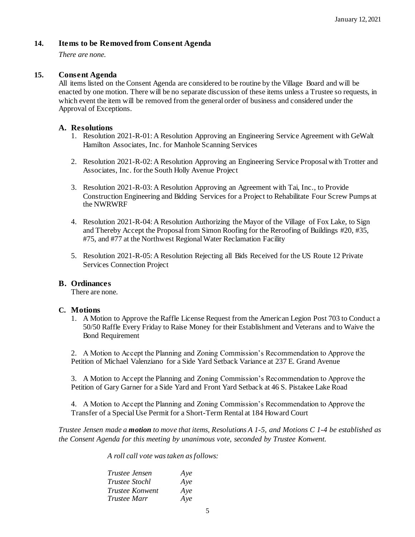## **14. Items to be Removed from Consent Agenda**

*There are none.*

## **15. Consent Agenda**

All items listed on the Consent Agenda are considered to be routine by the Village Board and will be enacted by one motion. There will be no separate discussion of these items unless a Trustee so requests, in which event the item will be removed from the general order of business and considered under the Approval of Exceptions.

## **A. Resolutions**

- 1. Resolution 2021-R-01: A Resolution Approving an Engineering Service Agreement with GeWalt Hamilton Associates, Inc. for Manhole Scanning Services
- 2. Resolution 2021-R-02: A Resolution Approving an Engineering Service Proposal with Trotter and Associates, Inc. for the South Holly Avenue Project
- 3. Resolution 2021-R-03: A Resolution Approving an Agreement with Tai, Inc., to Provide Construction Engineering and Bidding Services for a Project to Rehabilitate Four Screw Pumps at the NWRWRF
- 4. Resolution 2021-R-04: A Resolution Authorizing the Mayor of the Village of Fox Lake, to Sign and Thereby Accept the Proposal from Simon Roofing for the Reroofing of Buildings #20, #35, #75, and #77 at the Northwest Regional Water Reclamation Facility
- 5. Resolution 2021-R-05: A Resolution Rejecting all Bids Received for the US Route 12 Private Services Connection Project

#### **B. Ordinances**

There are none.

#### **C. Motions**

1. A Motion to Approve the Raffle License Request from the American Legion Post 703 to Conduct a 50/50 Raffle Every Friday to Raise Money for their Establishment and Veterans and to Waive the Bond Requirement

2. A Motion to Accept the Planning and Zoning Commission's Recommendation to Approve the Petition of Michael Valenziano for a Side Yard Setback Variance at 237 E. Grand Avenue

3. A Motion to Accept the Planning and Zoning Commission's Recommendation to Approve the Petition of Gary Garner for a Side Yard and Front Yard Setback at 46 S. Pistakee Lake Road

4. A Motion to Accept the Planning and Zoning Commission's Recommendation to Approve the Transfer of a Special Use Permit for a Short-Term Rental at 184 Howard Court

*Trustee Jensen made a motion to move that items, Resolutions A 1-5, and Motions C 1-4 be established as the Consent Agenda for this meeting by unanimous vote, seconded by Trustee Konwent.*

*A roll call vote was taken asfollows:* 

| Trustee Jensen         | Aye |
|------------------------|-----|
| <i>Trustee Stochl</i>  | Aye |
| <i>Trustee Konwent</i> | Aye |
| Trustee Marr           | Aye |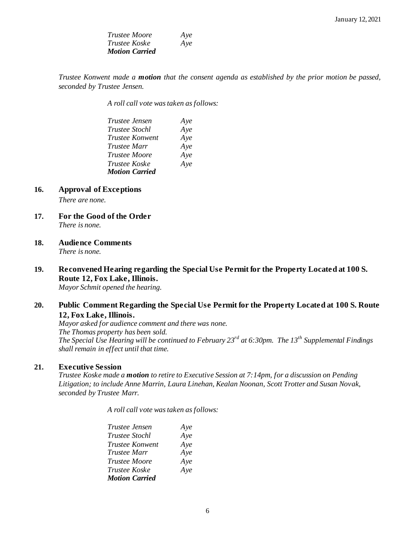| Trustee Moore         | Aye |
|-----------------------|-----|
| <i>Trustee Koske</i>  | Aye |
| <b>Motion Carried</b> |     |

*Trustee Konwent made a motion that the consent agenda as established by the prior motion be passed, seconded by Trustee Jensen.*

*A roll call vote was taken as follows:* 

| <i>Trustee Jensen</i>  | Aye |
|------------------------|-----|
| <i>Trustee Stochl</i>  | Aye |
| <i>Trustee Konwent</i> | Aye |
| <i>Trustee Marr</i>    | Aye |
| <i>Trustee Moore</i>   | Aye |
| <i>Trustee Koske</i>   | Aye |
| <b>Motion Carried</b>  |     |

**16. Approval of Exceptions**

*There are none.*

- **17. For the Good of the Order** *There is none.*
- **18. Audience Comments**

*There is none.*

# **19. Reconvened Hearing regarding the Special Use Permit for the Property Located at 100 S. Route 12, Fox Lake, Illinois.**

*Mayor Schmit opened the hearing.*

# **20. Public Comment Regarding the Special Use Permit for the Property Located at 100 S. Route 12, Fox Lake, Illinois.**

*Mayor asked for audience comment and there was none. The Thomas property has been sold. The Special Use Hearing will be continued to February 23rd at 6:30pm. The 13th Supplemental Findings shall remain in effect until that time.* 

#### **21. Executive Session**

*Trustee Koske made a motion to retire to Executive Session at 7:14pm, for a discussion on Pending Litigation; to include Anne Marrin, Laura Linehan, Kealan Noonan, Scott Trotter and Susan Novak, seconded by Trustee Marr.*

*A roll call vote was taken as follows:* 

| Trustee Jensen        | Aye |
|-----------------------|-----|
| <i>Trustee Stochl</i> | Aye |
| Trustee Konwent       | Aye |
| Trustee Marr          | Aye |
| Trustee Moore         | Aye |
| Trustee Koske         | Aye |
| <b>Motion Carried</b> |     |